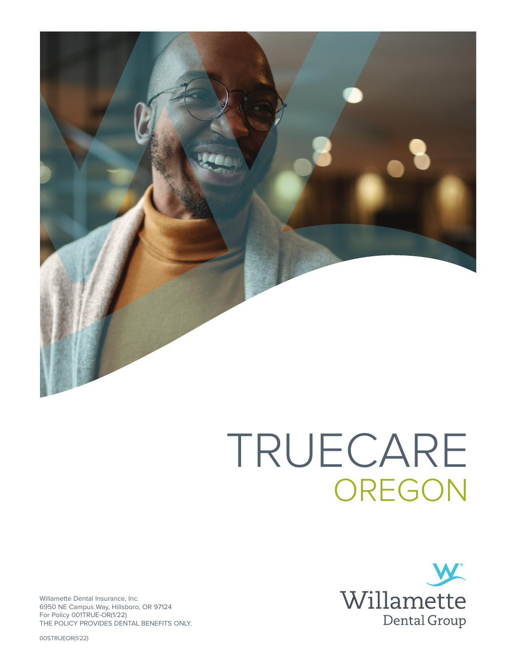

# TRUECARE OREGON



Willamette Dental Insurance, Inc. 6950 NE Campus Way, Hillsboro, OR 97124 For Policy 001TRUE-OR(1/22) THE POLICY PROVIDES DENTAL BENEFITS ONLY.

005TRUEOR(1/22)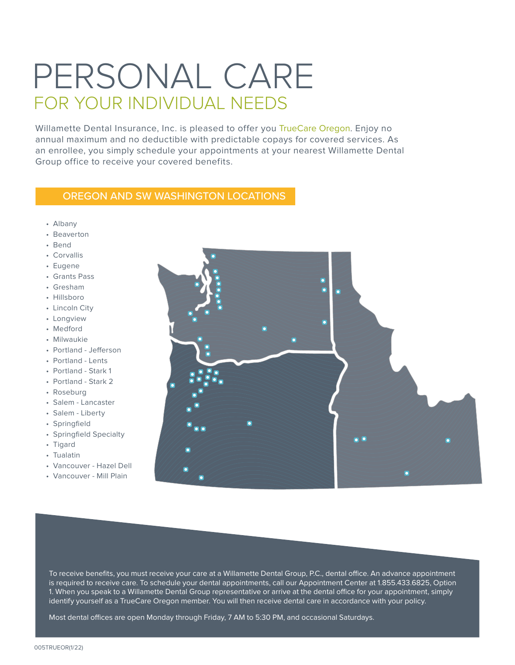## PERSONAL CARE FOR YOUR INDIVIDUAL NEEDS

Willamette Dental Insurance, Inc. is pleased to offer you TrueCare Oregon. Enjoy no annual maximum and no deductible with predictable copays for covered services. As an enrollee, you simply schedule your appointments at your nearest Willamette Dental Group office to receive your covered benefits.

#### OREGON AND SW WASHINGTON LOCATIONS

- Albany
- Beaverton
- Bend
- Corvallis
- Eugene
- Grants Pass
- Gresham
- Hillsboro
- Lincoln City
- Longview
- Medford
- Milwaukie
- Portland Jefferson
- Portland Lents
- Portland Stark 1
- Portland Stark 2
- Roseburg
- Salem Lancaster
- Salem Liberty
- Springfield
- Springfield Specialty
- Tigard
- Tualatin
- Vancouver Hazel Dell
- Vancouver Mill Plain



To receive benefits, you must receive your care at a Willamette Dental Group, P.C., dental office. An advance appointment is required to receive care. To schedule your dental appointments, call our Appointment Center at 1.855.433.6825, Option 1. When you speak to a Willamette Dental Group representative or arrive at the dental office for your appointment, simply identify yourself as a TrueCare Oregon member. You will then receive dental care in accordance with your policy.

Most dental offices are open Monday through Friday, 7 AM to 5:30 PM, and occasional Saturdays.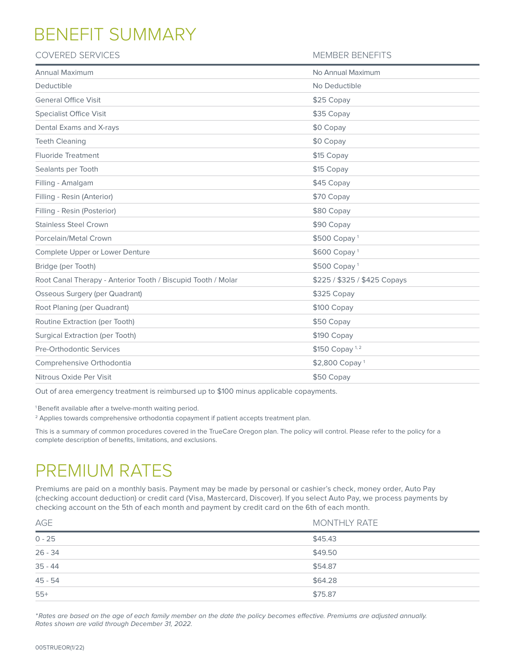## BENEFIT SUMMARY

#### COVERED SERVICES **MEMBER BENEFITS**

| Annual Maximum                                               | No Annual Maximum            |
|--------------------------------------------------------------|------------------------------|
| Deductible                                                   | No Deductible                |
| <b>General Office Visit</b>                                  | \$25 Copay                   |
| <b>Specialist Office Visit</b>                               | \$35 Copay                   |
| Dental Exams and X-rays                                      | \$0 Copay                    |
| <b>Teeth Cleaning</b>                                        | \$0 Copay                    |
| <b>Fluoride Treatment</b>                                    | \$15 Copay                   |
| Sealants per Tooth                                           | \$15 Copay                   |
| Filling - Amalgam                                            | \$45 Copay                   |
| Filling - Resin (Anterior)                                   | \$70 Copay                   |
| Filling - Resin (Posterior)                                  | \$80 Copay                   |
| <b>Stainless Steel Crown</b>                                 | \$90 Copay                   |
| Porcelain/Metal Crown                                        | \$500 Copay <sup>1</sup>     |
| Complete Upper or Lower Denture                              | \$600 Copay <sup>1</sup>     |
| Bridge (per Tooth)                                           | \$500 Copay <sup>1</sup>     |
| Root Canal Therapy - Anterior Tooth / Biscupid Tooth / Molar | \$225 / \$325 / \$425 Copays |
| <b>Osseous Surgery (per Quadrant)</b>                        | \$325 Copay                  |
| Root Planing (per Quadrant)                                  | \$100 Copay                  |
| Routine Extraction (per Tooth)                               | \$50 Copay                   |
| <b>Surgical Extraction (per Tooth)</b>                       | \$190 Copay                  |
| <b>Pre-Orthodontic Services</b>                              | \$150 Copay <sup>1,2</sup>   |
| Comprehensive Orthodontia                                    | \$2,800 Copay <sup>1</sup>   |
| Nitrous Oxide Per Visit                                      | \$50 Copay                   |
|                                                              |                              |

Out of area emergency treatment is reimbursed up to \$100 minus applicable copayments.

1 Benefit available after a twelve-month waiting period.

<sup>2</sup> Applies towards comprehensive orthodontia copayment if patient accepts treatment plan.

This is a summary of common procedures covered in the TrueCare Oregon plan. The policy will control. Please refer to the policy for a complete description of benefits, limitations, and exclusions.

## PREMIUM RATES

Premiums are paid on a monthly basis. Payment may be made by personal or cashier's check, money order, Auto Pay (checking account deduction) or credit card (Visa, Mastercard, Discover). If you select Auto Pay, we process payments by checking account on the 5th of each month and payment by credit card on the 6th of each month.

| AGE       | <b>MONTHLY RATE</b> |
|-----------|---------------------|
| $0 - 25$  | \$45.43             |
| $26 - 34$ | \$49.50             |
| $35 - 44$ | \$54.87             |
| $45 - 54$ | \$64.28             |
| $55+$     | \$75.87             |

*\*Rates are based on the age of each family member on the date the policy becomes effective. Premiums are adjusted annually. Rates shown are valid through December 31, 2022.*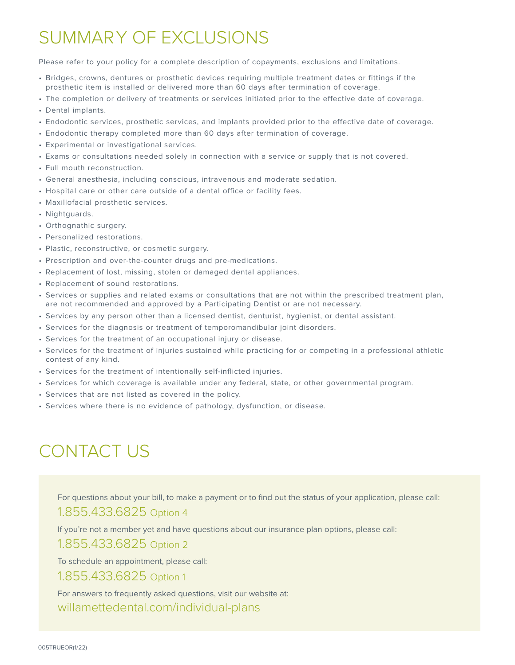## SUMMARY OF EXCLUSIONS

Please refer to your policy for a complete description of copayments, exclusions and limitations.

- Bridges, crowns, dentures or prosthetic devices requiring multiple treatment dates or fittings if the prosthetic item is installed or delivered more than 60 days after termination of coverage.
- The completion or delivery of treatments or services initiated prior to the effective date of coverage.
- Dental implants.
- Endodontic services, prosthetic services, and implants provided prior to the effective date of coverage.
- Endodontic therapy completed more than 60 days after termination of coverage.
- Experimental or investigational services.
- Exams or consultations needed solely in connection with a service or supply that is not covered.
- Full mouth reconstruction.
- General anesthesia, including conscious, intravenous and moderate sedation.
- Hospital care or other care outside of a dental office or facility fees.
- Maxillofacial prosthetic services.
- Nightguards.
- Orthognathic surgery.
- Personalized restorations.
- Plastic, reconstructive, or cosmetic surgery.
- Prescription and over-the-counter drugs and pre-medications.
- Replacement of lost, missing, stolen or damaged dental appliances.
- Replacement of sound restorations.
- Services or supplies and related exams or consultations that are not within the prescribed treatment plan, are not recommended and approved by a Participating Dentist or are not necessary.
- Services by any person other than a licensed dentist, denturist, hygienist, or dental assistant.
- Services for the diagnosis or treatment of temporomandibular joint disorders.
- Services for the treatment of an occupational injury or disease.
- Services for the treatment of injuries sustained while practicing for or competing in a professional athletic contest of any kind.
- Services for the treatment of intentionally self-inflicted injuries.
- Services for which coverage is available under any federal, state, or other governmental program.
- Services that are not listed as covered in the policy.
- Services where there is no evidence of pathology, dysfunction, or disease.

## CONTACT US

For questions about your bill, to make a payment or to find out the status of your application, please call:

#### 1.855.433.6825 Option 4

If you're not a member yet and have questions about our insurance plan options, please call:

#### 1.855.433.6825 Option 2

To schedule an appointment, please call:

#### 1.855.433.6825 Option 1

For answers to frequently asked questions, visit our website at: willamettedental.com/individual-plans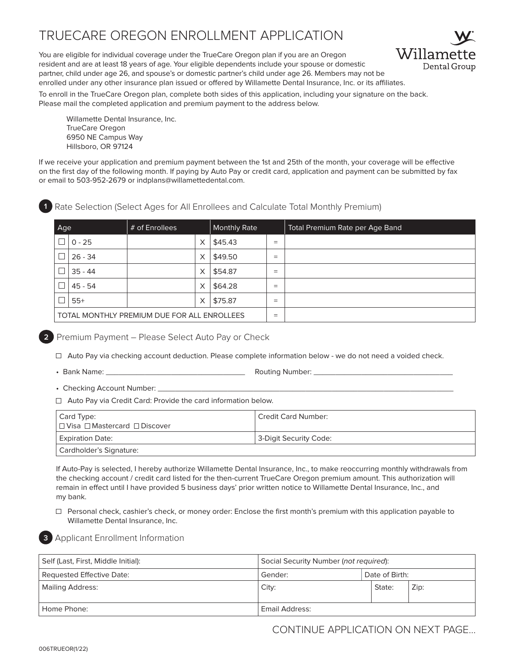### TRUECARE OREGON ENROLLMENT APPLICATION

You are eligible for individual coverage under the TrueCare Oregon plan if you are an Oregon resident and are at least 18 years of age. Your eligible dependents include your spouse or domestic partner, child under age 26, and spouse's or domestic partner's child under age 26. Members may not be enrolled under any other insurance plan issued or offered by Willamette Dental Insurance, Inc. or its affiliates.



To enroll in the TrueCare Oregon plan, complete both sides of this application, including your signature on the back. Please mail the completed application and premium payment to the address below.

Willamette Dental Insurance, Inc. TrueCare Oregon 6950 NE Campus Way Hillsboro, OR 97124

If we receive your application and premium payment between the 1st and 25th of the month, your coverage will be effective on the first day of the following month. If paying by Auto Pay or credit card, application and payment can be submitted by fax or email to 503-952-2679 or indplans@willamettedental.com.

**1** Rate Selection (Select Ages for All Enrollees and Calculate Total Monthly Premium)

| Age                                         |           | # of Enrollees |          | <b>Monthly Rate</b> |     | Total Premium Rate per Age Band |
|---------------------------------------------|-----------|----------------|----------|---------------------|-----|---------------------------------|
|                                             | $0 - 25$  |                | X        | \$45.43             | $=$ |                                 |
|                                             | $26 - 34$ |                | X        | \$49.50             | $=$ |                                 |
|                                             | $35 - 44$ |                | X        | \$54.87             | $=$ |                                 |
|                                             | $45 - 54$ |                | $\times$ | \$64.28             | $=$ |                                 |
|                                             | $55+$     |                | X        | \$75.87             | $=$ |                                 |
| TOTAL MONTHLY PREMIUM DUE FOR ALL ENROLLEES |           | $=$            |          |                     |     |                                 |

**2** Premium Payment – Please Select Auto Pay or Check

 $\Box$  Auto Pay via checking account deduction. Please complete information below - we do not need a voided check.

• Bank Name: \_\_\_\_\_\_\_\_\_\_\_\_\_\_\_\_\_\_\_\_\_\_\_\_\_\_\_\_\_\_\_\_ Routing Number: \_\_\_\_\_\_\_\_\_\_\_\_\_\_\_\_\_\_\_\_\_\_\_\_\_\_\_\_\_\_\_\_

• Checking Account Number:

 $\Box$  Auto Pay via Credit Card: Provide the card information below.

| Card Type:<br>l □ Visa □ Mastercard □ Discover | <sup>1</sup> Credit Card Number: |
|------------------------------------------------|----------------------------------|
| <b>Expiration Date:</b>                        | 3-Digit Security Code:           |
| Cardholder's Signature:                        |                                  |

If Auto-Pay is selected, I hereby authorize Willamette Dental Insurance, Inc., to make reoccurring monthly withdrawals from the checking account / credit card listed for the then-current TrueCare Oregon premium amount. This authorization will remain in effect until I have provided 5 business days' prior written notice to Willamette Dental Insurance, Inc., and my bank.

 $\Box$  Personal check, cashier's check, or money order: Enclose the first month's premium with this application payable to Willamette Dental Insurance, Inc.



**3** Applicant Enrollment Information

| Self (Last, First, Middle Initial): | Social Security Number (not required): |                |      |  |
|-------------------------------------|----------------------------------------|----------------|------|--|
| Requested Effective Date:           | Gender:                                | Date of Birth: |      |  |
| Mailing Address:                    | City:                                  | State:         | Zip: |  |
| Home Phone:                         | Email Address:                         |                |      |  |